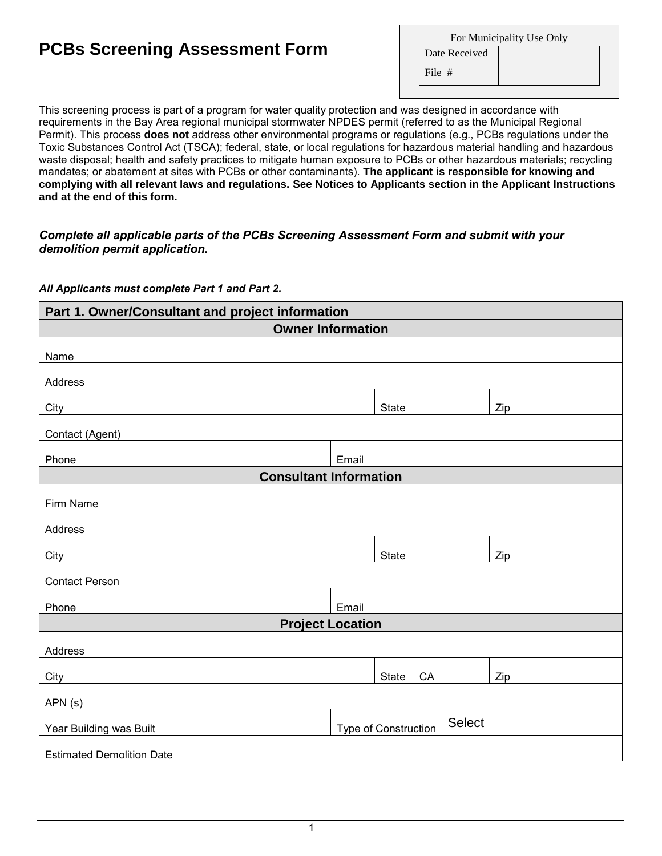# **PCBs Screening Assessment Form**

| For Municipality Use Only |  |  |
|---------------------------|--|--|
| Date Received             |  |  |
| File $#$                  |  |  |

This screening process is part of a program for water quality protection and was designed in accordance with requirements in the Bay Area regional municipal stormwater NPDES permit (referred to as the Municipal Regional Permit). This process **does not** address other environmental programs or regulations (e.g., PCBs regulations under the Toxic Substances Control Act (TSCA); federal, state, or local regulations for hazardous material handling and hazardous waste disposal; health and safety practices to mitigate human exposure to PCBs or other hazardous materials; recycling mandates; or abatement at sites with PCBs or other contaminants). **The applicant is responsible for knowing and complying with all relevant laws and regulations. See Notices to Applicants section in the Applicant Instructions and at the end of this form.**

#### *Complete all applicable parts of the PCBs Screening Assessment Form and submit with your demolition permit application.*

#### *All Applicants must complete Part 1 and Part 2.*

| Part 1. Owner/Consultant and project information                                                                                                |       |                                              |     |  |  |
|-------------------------------------------------------------------------------------------------------------------------------------------------|-------|----------------------------------------------|-----|--|--|
| <b>Owner Information</b>                                                                                                                        |       |                                              |     |  |  |
|                                                                                                                                                 |       |                                              |     |  |  |
| Name                                                                                                                                            |       |                                              |     |  |  |
| Address                                                                                                                                         |       |                                              |     |  |  |
| City                                                                                                                                            |       | <b>State</b>                                 | Zip |  |  |
| Contact (Agent)<br><u> 1989 - Johann Barn, mars ann an t-Amhair an t-Amhair an t-Amhair an t-Amhair an t-Amhair an t-Amhair an t-Amh</u>        |       |                                              |     |  |  |
| Phone                                                                                                                                           | Email |                                              |     |  |  |
| <b>Consultant Information</b>                                                                                                                   |       |                                              |     |  |  |
| Firm Name                                                                                                                                       |       |                                              |     |  |  |
|                                                                                                                                                 |       |                                              |     |  |  |
| Address                                                                                                                                         |       |                                              |     |  |  |
| City                                                                                                                                            |       | <b>State</b>                                 | Zip |  |  |
| <b>Contact Person</b>                                                                                                                           |       |                                              |     |  |  |
| Phone                                                                                                                                           | Email |                                              |     |  |  |
| <b>Project Location</b>                                                                                                                         |       |                                              |     |  |  |
|                                                                                                                                                 |       |                                              |     |  |  |
| Address                                                                                                                                         |       |                                              |     |  |  |
| City                                                                                                                                            |       | State<br>CA                                  | Zip |  |  |
| APN(s)<br><u> 1989 - Johann Stoff, deutscher Stoffen und der Stoffen und der Stoffen und der Stoffen und der Stoffen und der</u>                |       |                                              |     |  |  |
| Year Building was Built<br><u> 1980 - Jan Samuel Barbara, politik eta politik eta politik eta politik eta politik eta politik eta politik e</u> |       | <b>Select</b><br><b>Type of Construction</b> |     |  |  |
|                                                                                                                                                 |       |                                              |     |  |  |
| <b>Estimated Demolition Date</b>                                                                                                                |       |                                              |     |  |  |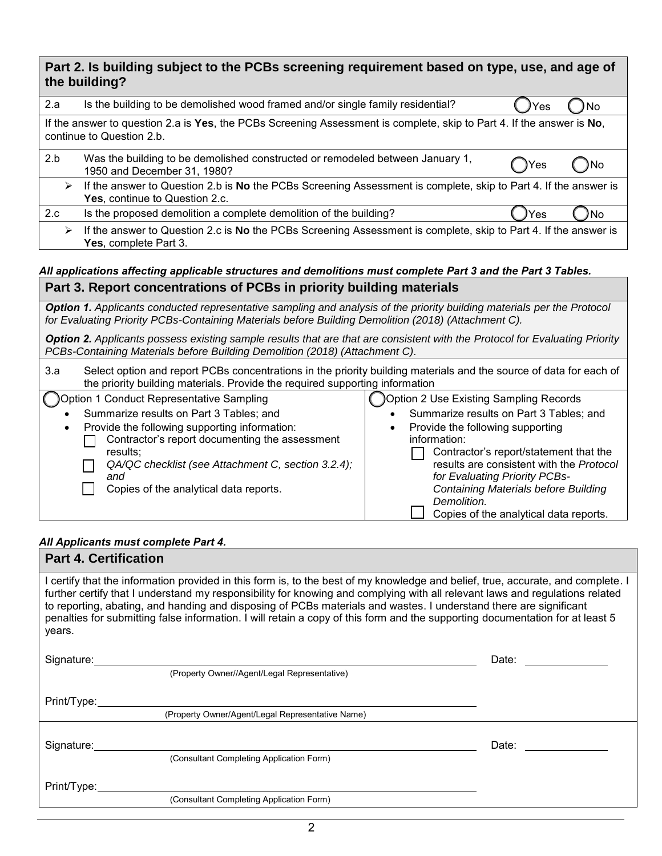| Part 2. Is building subject to the PCBs screening requirement based on type, use, and age of                                                                                                                                   |                                                                                                                                                                                                                                                                                                                            |  |  |  |  |
|--------------------------------------------------------------------------------------------------------------------------------------------------------------------------------------------------------------------------------|----------------------------------------------------------------------------------------------------------------------------------------------------------------------------------------------------------------------------------------------------------------------------------------------------------------------------|--|--|--|--|
| the building?                                                                                                                                                                                                                  |                                                                                                                                                                                                                                                                                                                            |  |  |  |  |
| Is the building to be demolished wood framed and/or single family residential?<br>2.a<br>Yes                                                                                                                                   |                                                                                                                                                                                                                                                                                                                            |  |  |  |  |
| If the answer to question 2.a is Yes, the PCBs Screening Assessment is complete, skip to Part 4. If the answer is No,<br>continue to Question 2.b.                                                                             |                                                                                                                                                                                                                                                                                                                            |  |  |  |  |
| Was the building to be demolished constructed or remodeled between January 1,<br>No<br>'es<br>1950 and December 31, 1980?                                                                                                      |                                                                                                                                                                                                                                                                                                                            |  |  |  |  |
| If the answer to Question 2.b is No the PCBs Screening Assessment is complete, skip to Part 4. If the answer is<br>$\blacktriangleright$                                                                                       |                                                                                                                                                                                                                                                                                                                            |  |  |  |  |
| Is the proposed demolition a complete demolition of the building?                                                                                                                                                              | No<br>Yes                                                                                                                                                                                                                                                                                                                  |  |  |  |  |
| If the answer to Question 2.c is No the PCBs Screening Assessment is complete, skip to Part 4. If the answer is<br>$\blacktriangleright$                                                                                       |                                                                                                                                                                                                                                                                                                                            |  |  |  |  |
| All applications affecting applicable structures and demolitions must complete Part 3 and the Part 3 Tables.                                                                                                                   |                                                                                                                                                                                                                                                                                                                            |  |  |  |  |
|                                                                                                                                                                                                                                |                                                                                                                                                                                                                                                                                                                            |  |  |  |  |
| Option 1. Applicants conducted representative sampling and analysis of the priority building materials per the Protocol<br>for Evaluating Priority PCBs-Containing Materials before Building Demolition (2018) (Attachment C). |                                                                                                                                                                                                                                                                                                                            |  |  |  |  |
| <b>Option 2.</b> Applicants possess existing sample results that are that are consistent with the Protocol for Evaluating Priority<br>PCBs-Containing Materials before Building Demolition (2018) (Attachment C).              |                                                                                                                                                                                                                                                                                                                            |  |  |  |  |
| 3.a<br>Select option and report PCBs concentrations in the priority building materials and the source of data for each of<br>the priority building materials. Provide the required supporting information                      |                                                                                                                                                                                                                                                                                                                            |  |  |  |  |
| Option 1 Conduct Representative Sampling                                                                                                                                                                                       | Option 2 Use Existing Sampling Records                                                                                                                                                                                                                                                                                     |  |  |  |  |
| Provide the following supporting information:<br>Contractor's report documenting the assessment<br>results;<br>QA/QC checklist (see Attachment C, section 3.2.4);<br>and<br>Copies of the analytical data reports.             | Summarize results on Part 3 Tables; and<br>Provide the following supporting<br>information:<br>Contractor's report/statement that the<br>results are consistent with the Protocol<br>for Evaluating Priority PCBs-<br><b>Containing Materials before Building</b><br>Demolition.<br>Copies of the analytical data reports. |  |  |  |  |
|                                                                                                                                                                                                                                | Yes, continue to Question 2.c.<br>Yes, complete Part 3.<br>Part 3. Report concentrations of PCBs in priority building materials<br>Summarize results on Part 3 Tables; and                                                                                                                                                 |  |  |  |  |

## *All Applicants must complete Part 4.*

| <b>Part 4. Certification</b>                                                                                                                                                                                                                                                                                                                                                                                                                                                                                                     |                                                                                                                                                                                                                                |  |  |  |
|----------------------------------------------------------------------------------------------------------------------------------------------------------------------------------------------------------------------------------------------------------------------------------------------------------------------------------------------------------------------------------------------------------------------------------------------------------------------------------------------------------------------------------|--------------------------------------------------------------------------------------------------------------------------------------------------------------------------------------------------------------------------------|--|--|--|
| I certify that the information provided in this form is, to the best of my knowledge and belief, true, accurate, and complete. I<br>further certify that I understand my responsibility for knowing and complying with all relevant laws and regulations related<br>to reporting, abating, and handing and disposing of PCBs materials and wastes. I understand there are significant<br>penalties for submitting false information. I will retain a copy of this form and the supporting documentation for at least 5<br>years. |                                                                                                                                                                                                                                |  |  |  |
| Signature: <u>Contract Communication</u> Contract Communication Communication Communication Communication                                                                                                                                                                                                                                                                                                                                                                                                                        | Date: __________                                                                                                                                                                                                               |  |  |  |
| (Property Owner//Agent/Legal Representative)                                                                                                                                                                                                                                                                                                                                                                                                                                                                                     |                                                                                                                                                                                                                                |  |  |  |
| Print/Type:                                                                                                                                                                                                                                                                                                                                                                                                                                                                                                                      |                                                                                                                                                                                                                                |  |  |  |
| (Property Owner/Agent/Legal Representative Name)                                                                                                                                                                                                                                                                                                                                                                                                                                                                                 |                                                                                                                                                                                                                                |  |  |  |
|                                                                                                                                                                                                                                                                                                                                                                                                                                                                                                                                  | Date: the contract of the contract of the contract of the contract of the contract of the contract of the contract of the contract of the contract of the contract of the contract of the contract of the contract of the cont |  |  |  |
| (Consultant Completing Application Form)                                                                                                                                                                                                                                                                                                                                                                                                                                                                                         |                                                                                                                                                                                                                                |  |  |  |
| Print/Type:                                                                                                                                                                                                                                                                                                                                                                                                                                                                                                                      |                                                                                                                                                                                                                                |  |  |  |
| (Consultant Completing Application Form)                                                                                                                                                                                                                                                                                                                                                                                                                                                                                         |                                                                                                                                                                                                                                |  |  |  |